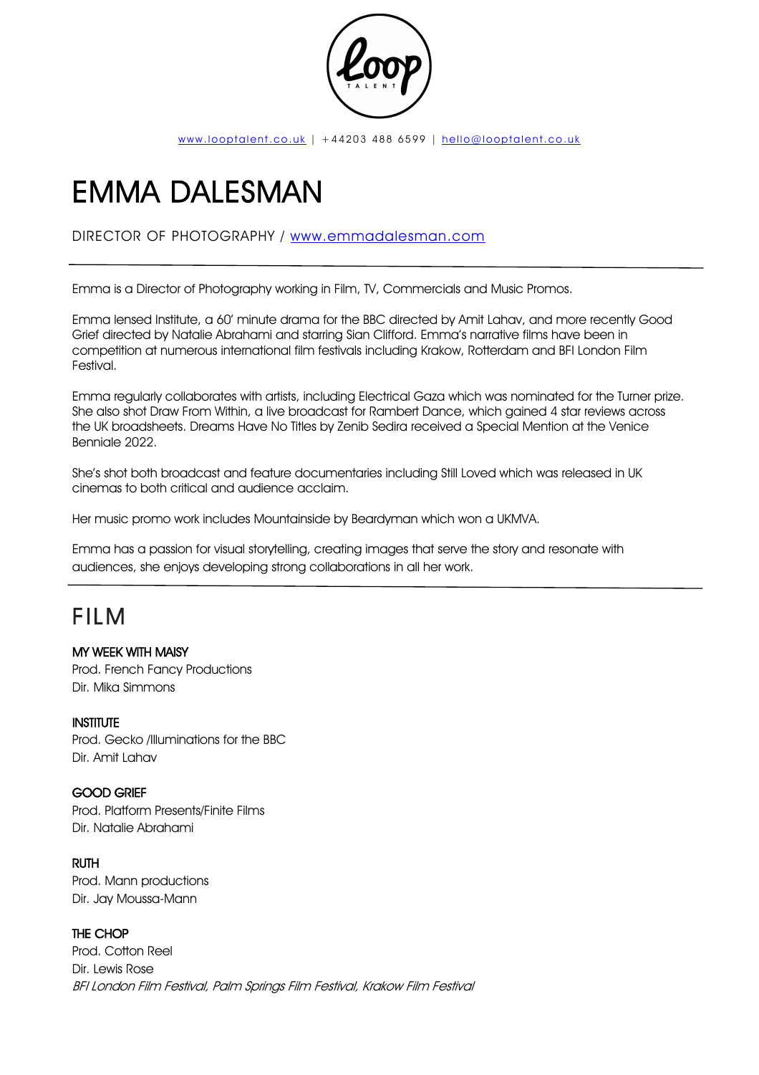

# EMMA DALESMAN

# DIRECTOR OF PHOTOGRAPHY / www.emmadalesman.com

Emma is a Director of Photography working in Film, TV, Commercials and Music Promos.

Emma lensed Institute, a 60' minute drama for the BBC directed by Amit Lahav, and more recently Good Grief directed by Natalie Abrahami and starring Sian Clifford. Emma's narrative films have been in competition at numerous international film festivals including Krakow, Rotterdam and BFI London Film Festival.

Emma regularly collaborates with artists, including Electrical Gaza which was nominated for the Turner prize. She also shot Draw From Within, a live broadcast for Rambert Dance, which gained 4 star reviews across the UK broadsheets. Dreams Have No Titles by Zenib Sedira received a Special Mention at the Venice Benniale 2022.

She's shot both broadcast and feature documentaries including Still Loved which was released in UK cinemas to both critical and audience acclaim.

Her music promo work includes Mountainside by Beardyman which won a UKMVA.

Emma has a passion for visual storytelling, creating images that serve the story and resonate with audiences, she enjoys developing strong collaborations in all her work.

# FILM

MY WEEK WITH MAISY Prod. French Fancy Productions Dir. Mika Simmons

#### **INSTITUTE**

Prod. Gecko /Illuminations for the BBC Dir. Amit Lahav

#### GOOD GRIEF

Prod. Platform Presents/Finite Films Dir. Natalie Abrahami

RUTH Prod. Mann productions Dir. Jay Moussa-Mann

# THE CHOP

Prod. Cotton Reel Dir. Lewis Rose BFI London Film Festival, Palm Springs Film Festival, Krakow Film Festival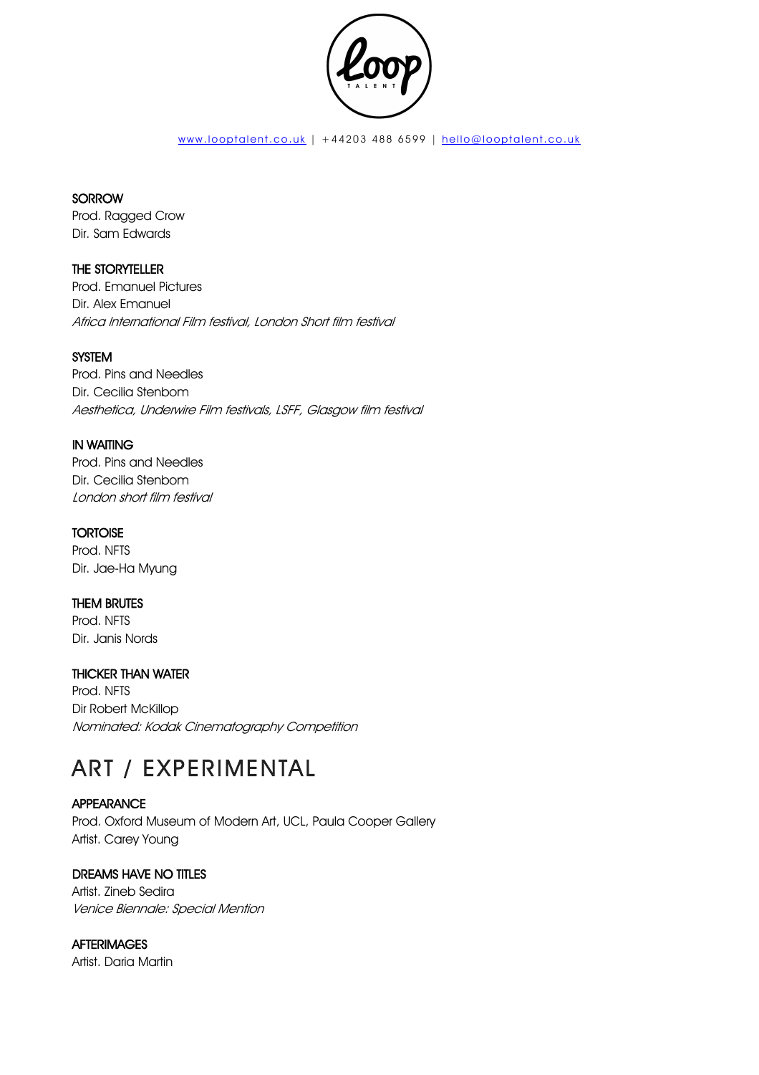

#### **SORROW**

Prod. Ragged Crow Dir. Sam Edwards

# THE STORYTELLER

Prod. Emanuel Pictures Dir. Alex Emanuel Africa International Film festival, London Short film festival

### **SYSTEM**

Prod. Pins and Needles Dir. Cecilia Stenbom Aesthetica, Underwire Film festivals, LSFF, Glasgow film festival

#### IN WAITING

Prod. Pins and Needles Dir. Cecilia Stenbom London short film festival

#### **TORTOISE**

Prod. NFTS Dir. Jae-Ha Myung

#### THEM BRUTES

Prod. NFTS Dir. Janis Nords

# THICKER THAN WATER

Prod. NFTS Dir Robert McKillop Nominated: Kodak Cinematography Competition

# ART / EXPERIMENTAL

#### APPEARANCE

Prod. Oxford Museum of Modern Art, UCL, Paula Cooper Gallery Artist. Carey Young

#### DREAMS HAVE NO TITLES

Artist. Zineb Sedira Venice Biennale: Special Mention

**AFTERIMAGES** Artist. Daria Martin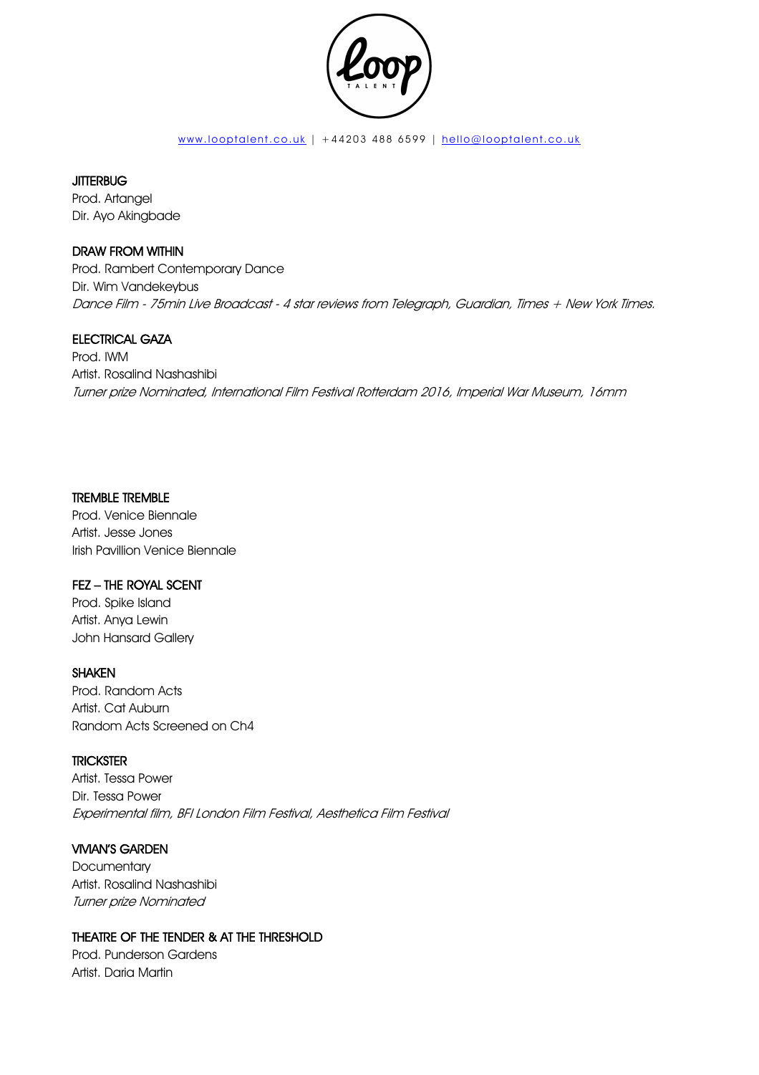

#### **JITTERBUG**

Prod. Artangel Dir. Ayo Akingbade

#### DRAW FROM WITHIN

Prod. Rambert Contemporary Dance Dir. Wim Vandekeybus Dance Film - 75min Live Broadcast - 4 star reviews from Telegraph, Guardian, Times + New York Times.

#### ELECTRICAL GAZA

Prod. IWM Artist. Rosalind Nashashibi Turner prize Nominated, International Film Festival Rotterdam 2016, Imperial War Museum, 16mm

#### TREMBLE TREMBLE

Prod. Venice Biennale Artist. Jesse Jones Irish Pavillion Venice Biennale

#### FEZ – THE ROYAL SCENT

Prod. Spike Island Artist. Anya Lewin John Hansard Gallery

#### SHAKEN

Prod. Random Acts Artist. Cat Auburn Random Acts Screened on Ch4

#### **TRICKSTER**

Artist. Tessa Power Dir. Tessa Power Experimental film, BFI London Film Festival, Aesthetica Film Festival

#### VIVIAN'S GARDEN

**Documentary** Artist. Rosalind Nashashibi Turner prize Nominated

#### THEATRE OF THE TENDER & AT THE THRESHOLD

Prod. Punderson Gardens Artist. Daria Martin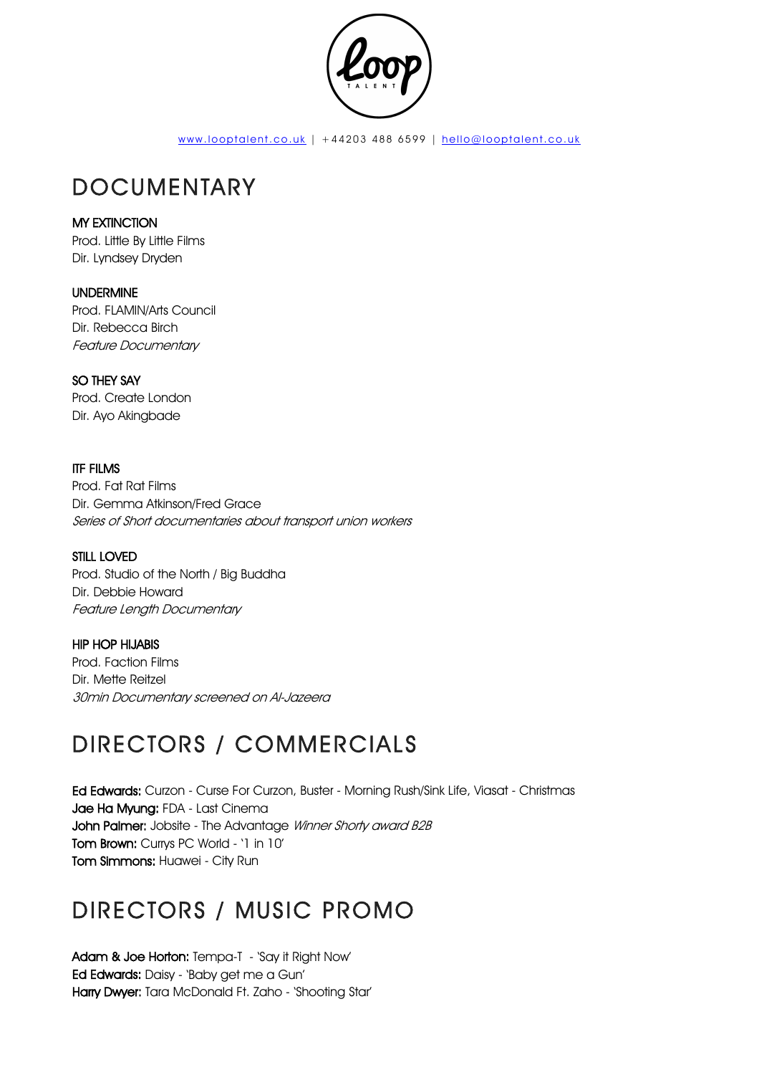

# DOCUMENTARY

# MY EXTINCTION

Prod. Little By Little Films Dir. Lyndsey Dryden

# UNDERMINE

Prod. FLAMIN/Arts Council Dir. Rebecca Birch Feature Documentary

# SO THEY SAY

Prod. Create London Dir. Ayo Akingbade

### ITF FILMS

Prod. Fat Rat Films Dir. Gemma Atkinson/Fred Grace Series of Short documentaries about transport union workers

# STILL LOVED

Prod. Studio of the North / Big Buddha Dir. Debbie Howard Feature Lenath Documentary

# HIP HOP HIJABIS

Prod. Faction Films Dir. Mette Reitzel 30min Documentary screened on Al-Jazeera

# DIRECTORS / COMMERCIALS

Ed Edwards: Curzon - Curse For Curzon, Buster - Morning Rush/Sink Life, Viasat - Christmas Jae Ha Myung: FDA - Last Cinema John Palmer: Jobsite - The Advantage Winner Shorty award B2B Tom Brown: Currys PC World - '1 in 10' Tom Simmons: Huawei - City Run

# DIRECTORS / MUSIC PROMO

Adam & Joe Horton: Tempa-T - 'Say it Right Now' Ed Edwards: Daisy - 'Baby get me a Gun' Harry Dwyer: Tara McDonald Ft. Zaho - 'Shooting Star'